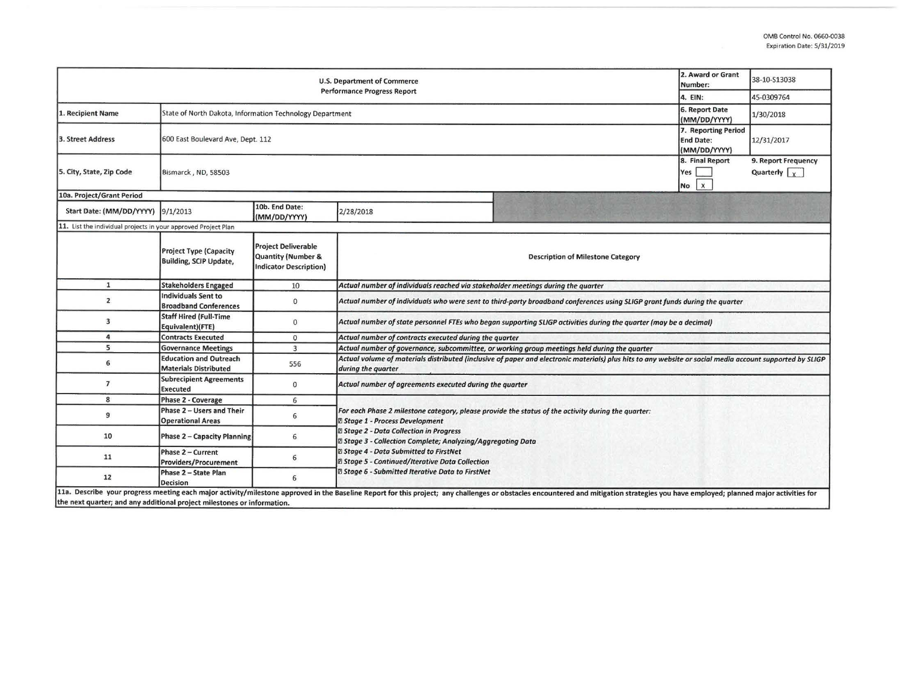| <b>U.S. Department of Commerce</b><br><b>Performance Progress Report</b> |                                                                |                                                                            |                                                                                                                                                                                                                                                                                                                                                            |                                                                                                                                                                                                                                | 2. Award or Grant<br>Number:                 | 38-10-S13038                                |  |  |  |
|--------------------------------------------------------------------------|----------------------------------------------------------------|----------------------------------------------------------------------------|------------------------------------------------------------------------------------------------------------------------------------------------------------------------------------------------------------------------------------------------------------------------------------------------------------------------------------------------------------|--------------------------------------------------------------------------------------------------------------------------------------------------------------------------------------------------------------------------------|----------------------------------------------|---------------------------------------------|--|--|--|
|                                                                          |                                                                |                                                                            |                                                                                                                                                                                                                                                                                                                                                            |                                                                                                                                                                                                                                | 4. EIN:                                      | 45-0309764                                  |  |  |  |
| 1. Recipient Name                                                        | State of North Dakota, Information Technology Department       |                                                                            |                                                                                                                                                                                                                                                                                                                                                            |                                                                                                                                                                                                                                | 6. Report Date<br>(MM/DD/YYYY)               | 1/30/2018                                   |  |  |  |
| 3. Street Address                                                        | 600 East Boulevard Ave, Dept. 112                              |                                                                            |                                                                                                                                                                                                                                                                                                                                                            |                                                                                                                                                                                                                                |                                              | 12/31/2017                                  |  |  |  |
| 5. City, State, Zip Code                                                 | Bismarck, ND, 58503                                            |                                                                            |                                                                                                                                                                                                                                                                                                                                                            |                                                                                                                                                                                                                                | 8. Final Report<br>Yes<br>$\mathbf{x}$<br>No | 9. Report Frequency<br>Quarterly $\sqrt{x}$ |  |  |  |
| 10a. Project/Grant Period                                                |                                                                |                                                                            |                                                                                                                                                                                                                                                                                                                                                            |                                                                                                                                                                                                                                |                                              |                                             |  |  |  |
| Start Date: (MM/DD/YYYY) 9/1/2013                                        |                                                                | 10b. End Date:<br>(MM/DD/YYYY)                                             | 2/28/2018                                                                                                                                                                                                                                                                                                                                                  |                                                                                                                                                                                                                                |                                              |                                             |  |  |  |
| 11. List the individual projects in your approved Project Plan           |                                                                |                                                                            |                                                                                                                                                                                                                                                                                                                                                            |                                                                                                                                                                                                                                |                                              |                                             |  |  |  |
|                                                                          | <b>Project Type (Capacity</b><br><b>Building, SCIP Update,</b> | <b>Project Deliverable</b><br>Quantity (Number &<br>Indicator Description) | <b>Description of Milestone Category</b>                                                                                                                                                                                                                                                                                                                   |                                                                                                                                                                                                                                |                                              |                                             |  |  |  |
| $\mathbf{1}$                                                             | <b>Stakeholders Engaged</b>                                    | 10                                                                         | Actual number of individuals reached via stakeholder meetings during the quarter                                                                                                                                                                                                                                                                           |                                                                                                                                                                                                                                |                                              |                                             |  |  |  |
| $\overline{2}$                                                           | Individuals Sent to<br><b>Broadband Conferences</b>            | $\mathbf{0}$                                                               | Actual number of individuals who were sent to third-party broadband conferences using SLIGP grant funds during the quarter                                                                                                                                                                                                                                 |                                                                                                                                                                                                                                |                                              |                                             |  |  |  |
| 3                                                                        | <b>Staff Hired (Full-Time</b><br>Equivalent)(FTE)              | $\mathbf{0}$                                                               | Actual number of state personnel FTEs who began supporting SLIGP activities during the quarter (may be a decimal)                                                                                                                                                                                                                                          |                                                                                                                                                                                                                                |                                              |                                             |  |  |  |
| 4                                                                        | <b>Contracts Executed</b>                                      | $\mathbf{0}$                                                               | Actual number of contracts executed during the quarter                                                                                                                                                                                                                                                                                                     |                                                                                                                                                                                                                                |                                              |                                             |  |  |  |
| 5                                                                        | <b>Governance Meetings</b>                                     | $\overline{3}$                                                             | Actual number of governance, subcommittee, or working group meetings held during the quarter                                                                                                                                                                                                                                                               |                                                                                                                                                                                                                                |                                              |                                             |  |  |  |
| 6                                                                        | <b>Education and Outreach</b><br><b>Materials Distributed</b>  | 556                                                                        | Actual volume of materials distributed (inclusive of paper and electronic materials) plus hits to any website or social media account supported by SLIGP<br>during the quarter                                                                                                                                                                             |                                                                                                                                                                                                                                |                                              |                                             |  |  |  |
| $\overline{7}$                                                           | <b>Subrecipient Agreements</b><br><b>Executed</b>              | $\mathbf{0}$                                                               | Actual number of agreements executed during the quarter                                                                                                                                                                                                                                                                                                    |                                                                                                                                                                                                                                |                                              |                                             |  |  |  |
| 8                                                                        | Phase 2 - Coverage                                             | 6                                                                          |                                                                                                                                                                                                                                                                                                                                                            |                                                                                                                                                                                                                                |                                              |                                             |  |  |  |
| 9                                                                        | Phase 2 - Users and Their<br><b>Operational Areas</b>          | 6                                                                          | For each Phase 2 milestone category, please provide the status of the activity during the quarter:<br><b>Z Stage 1 - Process Development</b><br>2 Stage 2 - Data Collection in Progress<br>2 Stage 3 - Collection Complete; Analyzing/Aggregating Data<br><b>2 Stage 4 - Data Submitted to FirstNet</b><br>@ Stage 5 - Continued/Iterative Data Collection |                                                                                                                                                                                                                                |                                              |                                             |  |  |  |
| 10                                                                       | Phase 2 - Capacity Planning                                    | 6                                                                          |                                                                                                                                                                                                                                                                                                                                                            |                                                                                                                                                                                                                                |                                              |                                             |  |  |  |
| 11                                                                       | Phase 2 - Current<br><b>Providers/Procurement</b>              | 6                                                                          |                                                                                                                                                                                                                                                                                                                                                            |                                                                                                                                                                                                                                |                                              |                                             |  |  |  |
| 12                                                                       | Phase 2 - State Plan<br><b>Decision</b>                        | 6                                                                          | <b>B Stage 6 - Submitted Iterative Data to FirstNet</b>                                                                                                                                                                                                                                                                                                    |                                                                                                                                                                                                                                |                                              |                                             |  |  |  |
| the next quarter; and any additional project milestones or information.  |                                                                |                                                                            |                                                                                                                                                                                                                                                                                                                                                            | 11a. Describe your progress meeting each major activity/milestone approved in the Baseline Report for this project; any challenges or obstacles encountered and mitigation strategies you have employed; planned major activit |                                              |                                             |  |  |  |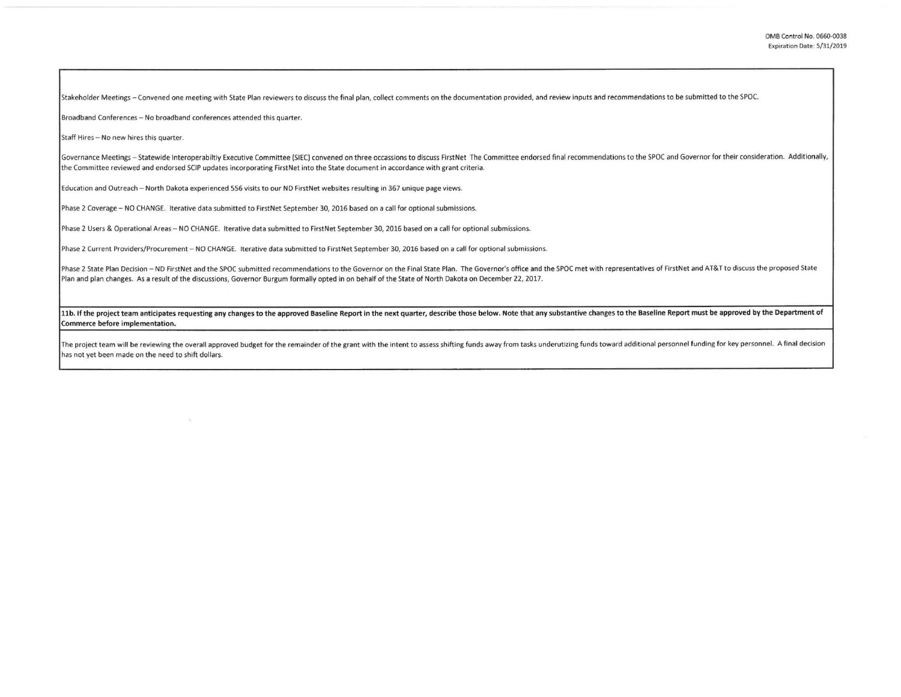Stakeholder Meetings - Convened one meeting with State Plan reviewers to discuss the final plan, collect comments on the documentation provided, and review inputs and recommendations to be submitted to the SPOC.

Broadband Conferences - No broadband conferences attended this quarter.

X.

**Staff Hires - No new hires this quarter.** 

Governance Meetings - Statewide Interoperabiltiy Executive Committee (SIEC) convened on three occassions to discuss FirstNet The Committee endorsed final recommendations to the SPOC and Governor for their consideration. Ad the Committee reviewed and endorsed SCIP updates incorporating FirstNet into the State document in accordance with grant criteria.

Education and Outreach - North Dakota experienced 556 visits to our ND FirstNet websites resulting in 367 unique page views.

Phase 2 Coverage - NO CHANGE. Iterative data submitted to FirstNet September 30, 2016 based on a call for optional submissions.

Phase 2 Users & Operational Areas - NO CHANGE. Iterative data submitted to FirstNet September 30, 2016 based on a call for optional submissions.

Phase 2 Current Providers/Procurement - NO CHANGE. Iterative data submitted to FirstNet September 30, 2016 based on a call for optional submissions.

Phase 2 State Plan Decision - ND FirstNet and the SPOC submitted recommendations to the Governor on the Final State Plan. The Governor's office and the SPOC met with representatives of FirstNet and AT&T to discuss the prop Plan and plan changes. As a result of the discussions, Governor Burgum formally opted in on behalf of the State of North Dakota on December 22, 2017.

11b. If the project team anticipates requesting any changes to the approved Baseline Report in the next quarter, describe those below. Note that any substantive changes to the Baseline Report must be approved by the Depart Commerce before implementation.

The project team will be reviewing the overall approved budget for the remainder of the grant with the intent to assess shifting funds away from tasks underutizing funds toward additional personnel funding for key personne has not yet been made on the need to shift dollars.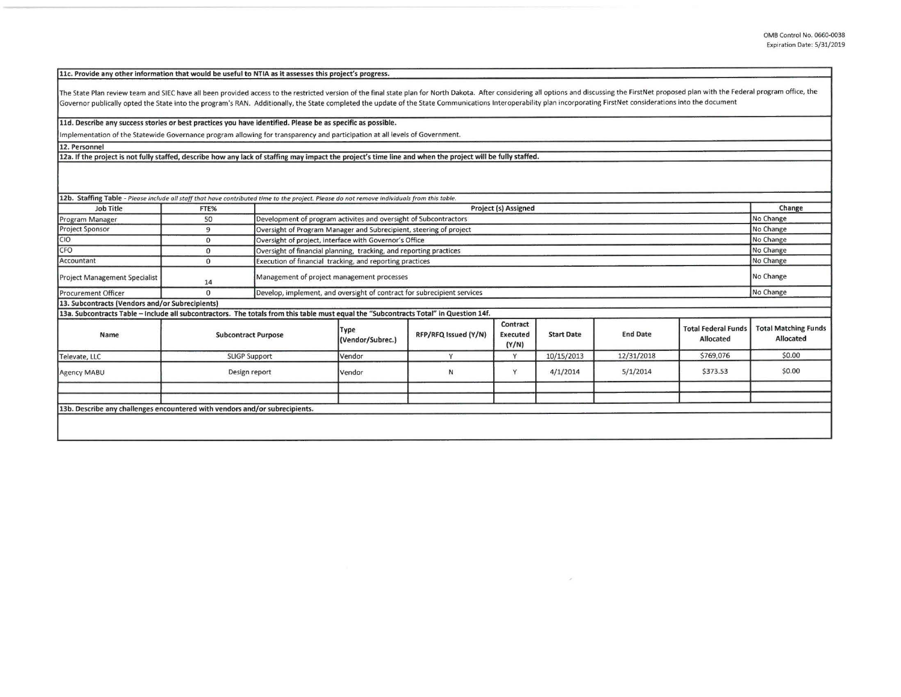llc. Provide any other information that would be useful to NTIA as it assesses this project's progress.

The State Plan review team and SIEC have all been provided access to the restricted version of the final state plan for North Dakota. After considering all options and discussing the FirstNet proposed plan with the Federal Governor publically opted the State into the program's RAN. Additionally, the State completed the update of the State Communications Interoperability plan incorporating FirstNet considerations into the document

## lld. Describe any success stories or best practices you have identified. Please **be as** specific as possible.

Implementation of the Statewide Governance program allowing for transparency and participation at all levels of Government.

**12. Personnel** 

12a. If the project is not fully staffed, describe how any lack of staffing may impact the project's time line and when the project will be fully staffed.

| <b>Job Title</b>                                                                                                                      | FTE%                       |  | Project (s) Assigned                                                            |                      |                               |                   |                 |                                         |                                          |
|---------------------------------------------------------------------------------------------------------------------------------------|----------------------------|--|---------------------------------------------------------------------------------|----------------------|-------------------------------|-------------------|-----------------|-----------------------------------------|------------------------------------------|
| Program Manager                                                                                                                       | 50                         |  | Development of program activites and oversight of Subcontractors                |                      |                               |                   |                 |                                         | No Change                                |
| <b>Project Sponsor</b>                                                                                                                | 9                          |  | Oversight of Program Manager and Subrecipient, steering of project              |                      |                               |                   |                 |                                         | No Change                                |
| CIO                                                                                                                                   | $\Omega$                   |  | Oversight of project, interface with Governor's Office                          |                      |                               |                   |                 |                                         | No Change                                |
| CFO                                                                                                                                   | $\Omega$                   |  | No Change<br>Oversight of financial planning, tracking, and reporting practices |                      |                               |                   |                 |                                         |                                          |
| Accountant                                                                                                                            | $\Omega$                   |  | Execution of financial tracking, and reporting practices                        |                      |                               |                   |                 | No Change                               |                                          |
| Project Management Specialist                                                                                                         | 14                         |  | Management of project management processes                                      |                      |                               |                   |                 |                                         | No Change                                |
| Procurement Officer                                                                                                                   | $\Omega$                   |  | Develop, implement, and oversight of contract for subrecipient services         |                      |                               |                   |                 |                                         | No Change                                |
| 13. Subcontracts (Vendors and/or Subrecipients)                                                                                       |                            |  |                                                                                 |                      |                               |                   |                 |                                         |                                          |
| 13a. Subcontracts Table - Include all subcontractors. The totals from this table must equal the "Subcontracts Total" in Question 14f. |                            |  |                                                                                 |                      |                               |                   |                 |                                         |                                          |
| Name                                                                                                                                  | <b>Subcontract Purpose</b> |  | Type<br>(Vendor/Subrec.)                                                        | RFP/RFQ Issued (Y/N) | Contract<br>Executed<br>(Y/N) | <b>Start Date</b> | <b>End Date</b> | <b>Total Federal Funds</b><br>Allocated | <b>Total Matching Funds</b><br>Allocated |
| Televate, LLC                                                                                                                         | <b>SLIGP Support</b>       |  | Vendor                                                                          | v                    | Y                             | 10/15/2013        | 12/31/2018      | \$769,076                               | \$0.00                                   |
| Agency MABU                                                                                                                           | Design report              |  | Vendor                                                                          | N                    | Y                             | 4/1/2014          | 5/1/2014        | \$373.53                                | \$0.00                                   |
|                                                                                                                                       |                            |  |                                                                                 |                      |                               |                   |                 |                                         |                                          |
|                                                                                                                                       |                            |  |                                                                                 |                      |                               |                   |                 |                                         |                                          |
| 13b. Describe any challenges encountered with vendors and/or subrecipients.                                                           |                            |  |                                                                                 |                      |                               |                   |                 |                                         |                                          |
|                                                                                                                                       |                            |  |                                                                                 |                      |                               |                   |                 |                                         |                                          |